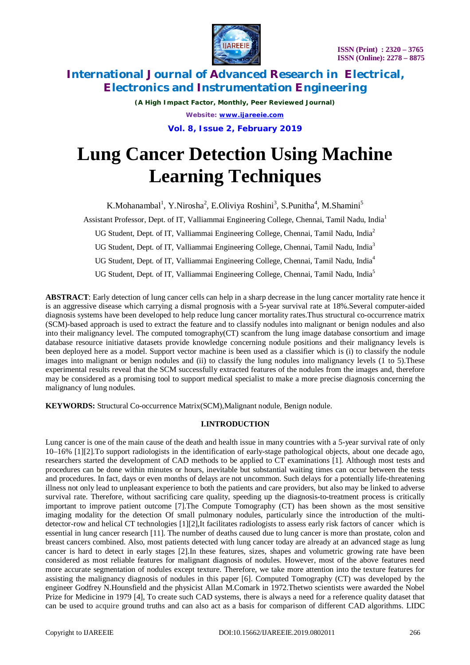

*(A High Impact Factor, Monthly, Peer Reviewed Journal) Website: [www.ijareeie.com](http://www.ijareeie.com)* **Vol. 8, Issue 2, February 2019**

# **Lung Cancer Detection Using Machine Learning Techniques**

K.Mohanambal<sup>1</sup>, Y.Nirosha<sup>2</sup>, E.Oliviya Roshini<sup>3</sup>, S.Punitha<sup>4</sup>, M.Shamini<sup>5</sup>

Assistant Professor, Dept. of IT, Valliammai Engineering College, Chennai, Tamil Nadu, India<sup>1</sup>

UG Student, Dept. of IT, Valliammai Engineering College, Chennai, Tamil Nadu, India<sup>2</sup>

UG Student, Dept. of IT, Valliammai Engineering College, Chennai, Tamil Nadu, India<sup>3</sup>

UG Student, Dept. of IT, Valliammai Engineering College, Chennai, Tamil Nadu, India<sup>4</sup>

UG Student, Dept. of IT, Valliammai Engineering College, Chennai, Tamil Nadu, India<sup>5</sup>

**ABSTRACT**: Early detection of lung cancer cells can help in a sharp decrease in the lung cancer mortality rate hence it is an aggressive disease which carrying a dismal prognosis with a 5-year survival rate at 18%.Several computer-aided diagnosis systems have been developed to help reduce lung cancer mortality rates.Thus structural co-occurrence matrix (SCM)-based approach is used to extract the feature and to classify nodules into malignant or benign nodules and also into their malignancy level. The computed tomography(CT) scanfrom the lung image database consortium and image database resource initiative datasets provide knowledge concerning nodule positions and their malignancy levels is been deployed here as a model. Support vector machine is been used as a classifier which is (i) to classify the nodule images into malignant or benign nodules and (ii) to classify the lung nodules into malignancy levels (1 to 5).These experimental results reveal that the SCM successfully extracted features of the nodules from the images and, therefore may be considered as a promising tool to support medical specialist to make a more precise diagnosis concerning the malignancy of lung nodules.

**KEYWORDS:** Structural Co-occurrence Matrix(SCM),Malignant nodule, Benign nodule.

# **I.INTRODUCTION**

Lung cancer is one of the main cause of the death and health issue in many countries with a 5-year survival rate of only 10–16% [1][2].To support radiologists in the identification of early-stage pathological objects, about one decade ago, researchers started the development of CAD methods to be applied to CT examinations [1]. Although most tests and procedures can be done within minutes or hours, inevitable but substantial waiting times can occur between the tests and procedures. In fact, days or even months of delays are not uncommon. Such delays for a potentially life-threatening illness not only lead to unpleasant experience to both the patients and care providers, but also may be linked to adverse survival rate. Therefore, without sacrificing care quality, speeding up the diagnosis-to-treatment process is critically important to improve patient outcome [7].The Compute Tomography (CT) has been shown as the most sensitive imaging modality for the detection Of small pulmonary nodules, particularly since the introduction of the multidetector-row and helical CT technologies [1][2],It facilitates radiologists to assess early risk factors of cancer which is essential in lung cancer research [11]. The number of deaths caused due to lung cancer is more than prostate, colon and breast cancers combined. Also, most patients detected with lung cancer today are already at an advanced stage as lung cancer is hard to detect in early stages [2].In these features, sizes, shapes and volumetric growing rate have been considered as most reliable features for malignant diagnosis of nodules. However, most of the above features need more accurate segmentation of nodules except texture. Therefore, we take more attention into the texture features for assisting the malignancy diagnosis of nodules in this paper [6]. Computed Tomography (CT) was developed by the engineer Godfrey N.Hounsfield and the physicist Allan M.Comark in 1972.Thetwo scientists were awarded the Nobel Prize for Medicine in 1979 [4], To create such CAD systems, there is always a need for a reference quality dataset that can be used to acquire ground truths and can also act as a basis for comparison of different CAD algorithms. LIDC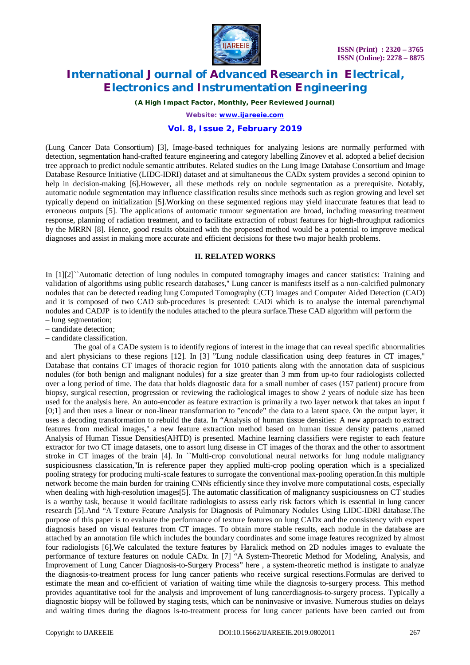

*(A High Impact Factor, Monthly, Peer Reviewed Journal)*

*Website: [www.ijareeie.com](http://www.ijareeie.com)*

### **Vol. 8, Issue 2, February 2019**

(Lung Cancer Data Consortium) [3], Image-based techniques for analyzing lesions are normally performed with detection, segmentation hand-crafted feature engineering and category labelling Zinovev et al. adopted a belief decision tree approach to predict nodule semantic attributes. Related studies on the Lung Image Database Consortium and Image Database Resource Initiative (LIDC-IDRI) dataset and at simultaneous the CADx system provides a second opinion to help in decision-making [6].However, all these methods rely on nodule segmentation as a prerequisite. Notably, automatic nodule segmentation may influence classification results since methods such as region growing and level set typically depend on initialization [5].Working on these segmented regions may yield inaccurate features that lead to erroneous outputs [5]. The applications of automatic tumour segmentation are broad, including measuring treatment response, planning of radiation treatment, and to facilitate extraction of robust features for high-throughput radiomics by the MRRN [8]. Hence, good results obtained with the proposed method would be a potential to improve medical diagnoses and assist in making more accurate and efficient decisions for these two major health problems.

#### **II. RELATED WORKS**

In [1][2]``Automatic detection of lung nodules in computed tomography images and cancer statistics: Training and validation of algorithms using public research databases,'' Lung cancer is manifests itself as a non-calcified pulmonary nodules that can be detected reading lung Computed Tomography (CT) images and Computer Aided Detection (CAD) and it is composed of two CAD sub-procedures is presented: CADi which is to analyse the internal parenchymal nodules and CADJP is to identify the nodules attached to the pleura surface.These CAD algorithm will perform the

– lung segmentation;

– candidate detection;

– candidate classification.

The goal of a CADe system is to identify regions of interest in the image that can reveal specific abnormalities and alert physicians to these regions [12]. In [3] "Lung nodule classification using deep features in CT images,'' Database that contains CT images of thoracic region for 1010 patients along with the annotation data of suspicious nodules (for both benign and malignant nodules) for a size greater than 3 mm from up-to four radiologists collected over a long period of time. The data that holds diagnostic data for a small number of cases (157 patient) procure from biopsy, surgical resection, progression or reviewing the radiological images to show 2 years of nodule size has been used for the analysis here. An auto-encoder as feature extraction is primarily a two layer network that takes an input f [0;1] and then uses a linear or non-linear transformation to "encode" the data to a latent space. On the output layer, it uses a decoding transformation to rebuild the data. In "Analysis of human tissue densities: A new approach to extract features from medical images,'' a new feature extraction method based on human tissue density patterns ,named Analysis of Human Tissue Densities(AHTD) is presented. Machine learning classifiers were register to each feature extractor for two CT image datasets, one to assort lung disease in CT images of the thorax and the other to assortment stroke in CT images of the brain [4]. In ``Multi-crop convolutional neural networks for lung nodule malignancy suspiciousness classication,''In is reference paper they applied multi-crop pooling operation which is a specialized pooling strategy for producing multi-scale features to surrogate the conventional max-pooling operation.In this multiple network become the main burden for training CNNs efficiently since they involve more computational costs, especially when dealing with high-resolution images[5]. The automatic classification of malignancy suspiciousness on CT studies is a worthy task, because it would facilitate radiologists to assess early risk factors which is essential in lung cancer research [5].And "A Texture Feature Analysis for Diagnosis of Pulmonary Nodules Using LIDC-IDRI database.The purpose of this paper is to evaluate the performance of texture features on lung CADx and the consistency with expert diagnosis based on visual features from CT images. To obtain more stable results, each nodule in the database are attached by an annotation file which includes the boundary coordinates and some image features recognized by almost four radiologists [6].We calculated the texture features by Haralick method on 2D nodules images to evaluate the performance of texture features on nodule CADx. In [7] "A System-Theoretic Method for Modeling, Analysis, and Improvement of Lung Cancer Diagnosis-to-Surgery Process" here , a system-theoretic method is instigate to analyze the diagnosis-to-treatment process for lung cancer patients who receive surgical resections.Formulas are derived to estimate the mean and co-efficient of variation of waiting time while the diagnosis to-surgery process. This method provides aquantitative tool for the analysis and improvement of lung cancerdiagnosis-to-surgery process. Typically a diagnostic biopsy will be followed by staging tests, which can be noninvasive or invasive. Numerous studies on delays and waiting times during the diagnos is-to-treatment process for lung cancer patients have been carried out from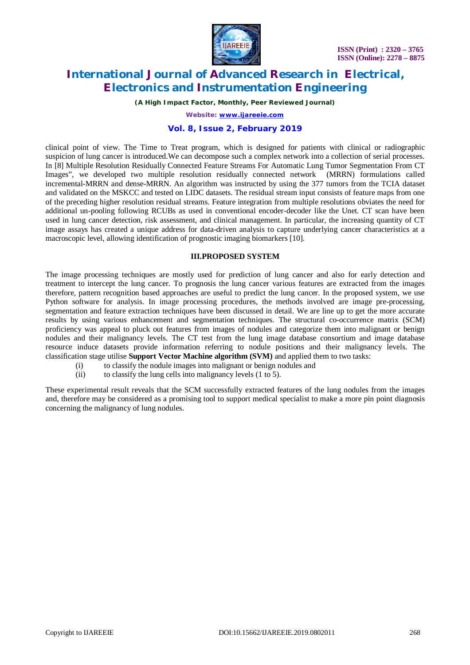

*(A High Impact Factor, Monthly, Peer Reviewed Journal)*

*Website: [www.ijareeie.com](http://www.ijareeie.com)*

## **Vol. 8, Issue 2, February 2019**

clinical point of view. The Time to Treat program, which is designed for patients with clinical or radiographic suspicion of lung cancer is introduced.We can decompose such a complex network into a collection of serial processes. In [8] Multiple Resolution Residually Connected Feature Streams For Automatic Lung Tumor Segmentation From CT Images", we developed two multiple resolution residually connected network (MRRN) formulations called incremental-MRRN and dense-MRRN. An algorithm was instructed by using the 377 tumors from the TCIA dataset and validated on the MSKCC and tested on LIDC datasets. The residual stream input consists of feature maps from one of the preceding higher resolution residual streams. Feature integration from multiple resolutions obviates the need for additional un-pooling following RCUBs as used in conventional encoder-decoder like the Unet. CT scan have been used in lung cancer detection, risk assessment, and clinical management. In particular, the increasing quantity of CT image assays has created a unique address for data-driven analysis to capture underlying cancer characteristics at a macroscopic level, allowing identification of prognostic imaging biomarkers [10].

### **III.PROPOSED SYSTEM**

The image processing techniques are mostly used for prediction of lung cancer and also for early detection and treatment to intercept the lung cancer. To prognosis the lung cancer various features are extracted from the images therefore, pattern recognition based approaches are useful to predict the lung cancer. In the proposed system, we use Python software for analysis. In image processing procedures, the methods involved are image pre-processing, segmentation and feature extraction techniques have been discussed in detail. We are line up to get the more accurate results by using various enhancement and segmentation techniques. The structural co-occurrence matrix (SCM) proficiency was appeal to pluck out features from images of nodules and categorize them into malignant or benign nodules and their malignancy levels. The CT test from the lung image database consortium and image database resource induce datasets provide information referring to nodule positions and their malignancy levels. The classification stage utilise **Support Vector Machine algorithm (SVM)** and applied them to two tasks:

- (i) to classify the nodule images into malignant or benign nodules and
- (ii) to classify the lung cells into malignancy levels (1 to 5).

These experimental result reveals that the SCM successfully extracted features of the lung nodules from the images and, therefore may be considered as a promising tool to support medical specialist to make a more pin point diagnosis concerning the malignancy of lung nodules.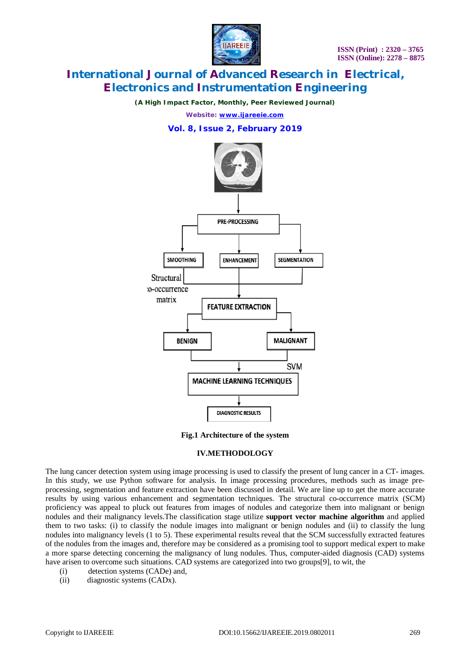

*(A High Impact Factor, Monthly, Peer Reviewed Journal)*

*Website: [www.ijareeie.com](http://www.ijareeie.com)*

# **Vol. 8, Issue 2, February 2019**



**Fig.1 Architecture of the system**

### **IV.METHODOLOGY**

The lung cancer detection system using image processing is used to classify the present of lung cancer in a CT- images. In this study, we use Python software for analysis. In image processing procedures, methods such as image preprocessing, segmentation and feature extraction have been discussed in detail. We are line up to get the more accurate results by using various enhancement and segmentation techniques. The structural co-occurrence matrix (SCM) proficiency was appeal to pluck out features from images of nodules and categorize them into malignant or benign nodules and their malignancy levels.The classification stage utilize **support vector machine algorithm** and applied them to two tasks: (i) to classify the nodule images into malignant or benign nodules and (ii) to classify the lung nodules into malignancy levels (1 to 5). These experimental results reveal that the SCM successfully extracted features of the nodules from the images and, therefore may be considered as a promising tool to support medical expert to make a more sparse detecting concerning the malignancy of lung nodules. Thus, computer-aided diagnosis (CAD) systems have arisen to overcome such situations. CAD systems are categorized into two groups[9], to wit, the

- (i) detection systems (CADe) and,
- (ii) diagnostic systems (CADx).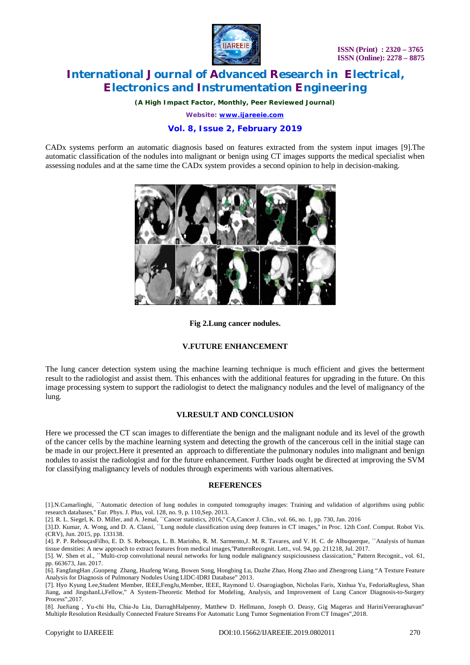

*(A High Impact Factor, Monthly, Peer Reviewed Journal)*

*Website: [www.ijareeie.com](http://www.ijareeie.com)*

# **Vol. 8, Issue 2, February 2019**

CADx systems perform an automatic diagnosis based on features extracted from the system input images [9].The automatic classification of the nodules into malignant or benign using CT images supports the medical specialist when assessing nodules and at the same time the CADx system provides a second opinion to help in decision-making.



### **Fig 2.Lung cancer nodules.**

### **V.FUTURE ENHANCEMENT**

The lung cancer detection system using the machine learning technique is much efficient and gives the betterment result to the radiologist and assist them. This enhances with the additional features for upgrading in the future. On this image processing system to support the radiologist to detect the malignancy nodules and the level of malignancy of the lung.

### **VI.RESULT AND CONCLUSION**

Here we processed the CT scan images to differentiate the benign and the malignant nodule and its level of the growth of the cancer cells by the machine learning system and detecting the growth of the cancerous cell in the initial stage can be made in our project.Here it presented an approach to differentiate the pulmonary nodules into malignant and benign nodules to assist the radiologist and for the future enhancement. Further loads ought be directed at improving the SVM for classifying malignancy levels of nodules through experiments with various alternatives.

### **REFERENCES**

[1].N.Camarlinghi, ``Automatic detection of lung nodules in computed tomography images: Training and validation of algorithms using public research databases,'' Eur. Phys. J. Plus, vol. 128, no. 9, p. 110,Sep. 2013.

[2]. R. L. Siegel, K. D. Miller, and A. Jemal, ``Cancer statistics, 2016,'' CA,Cancer J. Clin., vol. 66, no. 1, pp. 730, Jan. 2016

[8]. JueJiang , Yu-chi Hu, Chia-Ju Liu, DarraghHalpenny, Matthew D. Hellmann, Joseph O. Deasy, Gig Mageras and HariniVeeraraghavan" Multiple Resolution Residually Connected Feature Streams For Automatic Lung Tumor Segmentation From CT Images",2018.

<sup>[3].</sup>D. Kumar, A. Wong, and D. A. Clausi, ``Lung nodule classification using deep features in CT images,'' in Proc. 12th Conf. Comput. Robot Vis. (CRV), Jun. 2015, pp. 133138.

<sup>[4].</sup> P. P. RebouçasFilho, E. D. S. Rebouças, L. B. Marinho, R. M. Sarmento,J. M. R. Tavares, and V. H. C. de Albuquerque, ``Analysis of human tissue densities: A new approach to extract features from medical images,''PatternRecognit. Lett., vol. 94, pp. 211218, Jul. 2017.

<sup>[5].</sup> W. Shen et al., ``Multi-crop convolutional neural networks for lung nodule malignancy suspiciousness classication,'' Pattern Recognit., vol. 61, pp. 663673, Jan. 2017.

<sup>[6].</sup> FangfangHan ,Guopeng Zhang, Huafeng Wang, Bowen Song, Hongbing Lu, Dazhe Zhao, Hong Zhao and Zhengrong Liang "A Texture Feature Analysis for Diagnosis of Pulmonary Nodules Using LIDC-IDRI Database" 2013.

<sup>[7].</sup> Hyo Kyung Lee,Student Member, IEEE,FengJu,Member, IEEE, Raymond U. Osarogiagbon, Nicholas Faris, Xinhua Yu, FedoriaRugless, Shan Jiang, and JingshanLi,Fellow," A System-Theoretic Method for Modeling, Analysis, and Improvement of Lung Cancer Diagnosis-to-Surgery Process",2017.